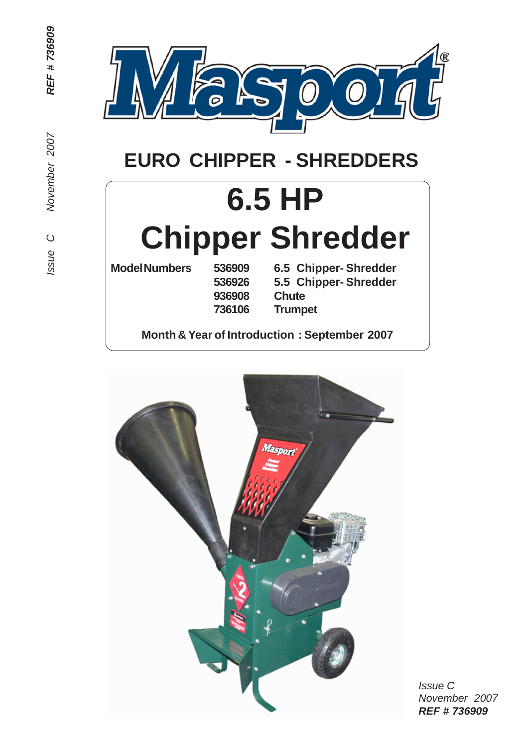

# **EURO CHIPPER - SHREDDERS**

# **6.5 HP Chipper Shredder**

**936908 Chute**

**Model Numbers 536909 6.5 Chipper- Shredder 536926 5.5 Chipper- Shredder 736106 Trumpet**

**Month & Year of Introduction : September 2007**



*Issue C November 2007 REF # 736909*

REF #736909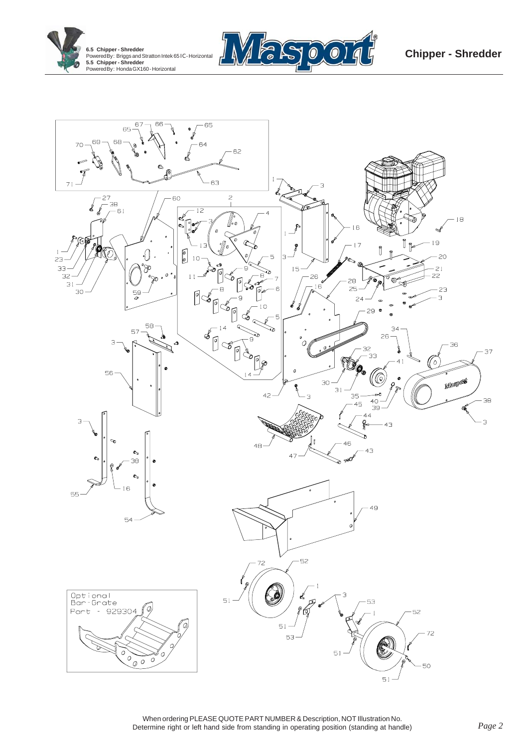



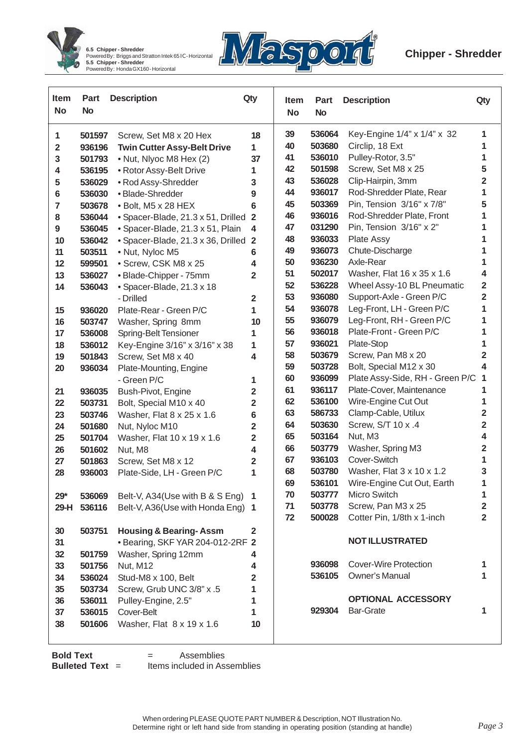



| <b>Item</b><br><b>No</b> | Part<br><b>No</b> | <b>Description</b>                                      | Qty                     | Item<br><b>No</b> | <b>Part</b><br><b>No</b> | <b>Description</b>                               | Qty                           |
|--------------------------|-------------------|---------------------------------------------------------|-------------------------|-------------------|--------------------------|--------------------------------------------------|-------------------------------|
| 1                        | 501597            | Screw, Set M8 x 20 Hex                                  | 18                      | 39                | 536064                   | Key-Engine 1/4" x 1/4" x 32                      | 1                             |
| $\overline{2}$           | 936196            | <b>Twin Cutter Assy-Belt Drive</b>                      | 1                       | 40                | 503680                   | Circlip, 18 Ext                                  | 1                             |
| 3                        | 501793            | • Nut, Nlyoc M8 Hex (2)                                 | 37                      | 41                | 536010                   | Pulley-Rotor, 3.5"                               | 1                             |
| 4                        | 536195            | • Rotor Assy-Belt Drive                                 | 1                       | 42                | 501598                   | Screw, Set M8 x 25                               | 5                             |
| 5                        | 536029            | • Rod Assy-Shredder                                     | 3                       | 43                | 536028                   | Clip-Hairpin, 3mm                                | 2                             |
| 6                        | 536030            | · Blade-Shredder                                        | 9                       | 44                | 936017                   | Rod-Shredder Plate, Rear                         | 1                             |
| 7                        | 503678            | · Bolt, M5 x 28 HEX                                     | 6                       | 45                | 503369                   | Pin, Tension 3/16" x 7/8"                        | 5                             |
| 8                        | 536044            | • Spacer-Blade, 21.3 x 51, Drilled                      | $\overline{2}$          | 46                | 936016                   | Rod-Shredder Plate, Front                        | 1                             |
| $\boldsymbol{9}$         | 536045            | • Spacer-Blade, 21.3 x 51, Plain                        | 4                       | 47                | 031290                   | Pin, Tension 3/16" x 2"                          | 1                             |
| 10                       | 536042            | • Spacer-Blade, 21.3 x 36, Drilled                      | $\overline{\mathbf{2}}$ | 48                | 936033                   | Plate Assy                                       | 1                             |
| 11                       | 503511            | • Nut, Nyloc M5                                         | 6                       | 49                | 936073<br>936230         | Chute-Discharge<br>Axle-Rear                     | 1<br>1                        |
| 12                       | 599501            | • Screw, CSK M8 x 25                                    | 4                       | 50<br>51          | 502017                   | Washer, Flat 16 x 35 x 1.6                       | 4                             |
| 13                       | 536027            | • Blade-Chipper - 75mm                                  | 2                       | 52                | 536228                   | Wheel Assy-10 BL Pneumatic                       | $\overline{\mathbf{2}}$       |
| 14                       | 536043            | • Spacer-Blade, 21.3 x 18<br>- Drilled                  | $\overline{\mathbf{2}}$ | 53                | 936080                   | Support-Axle - Green P/C                         | $\overline{2}$                |
| 15                       | 936020            | Plate-Rear - Green P/C                                  | 1                       | 54                | 936078                   | Leg-Front, LH - Green P/C                        | 1                             |
| 16                       | 503747            | Washer, Spring 8mm                                      | 10                      | 55                | 936079                   | Leg-Front, RH - Green P/C                        | 1                             |
| 17                       | 536008            | Spring-Belt Tensioner                                   | 1                       | 56                | 936018                   | Plate-Front - Green P/C                          | 1                             |
| 18                       | 536012            | Key-Engine 3/16" x 3/16" x 38                           | 1                       | 57                | 936021                   | Plate-Stop                                       | 1                             |
| 19                       | 501843            | Screw, Set M8 x 40                                      | 4                       | 58                | 503679                   | Screw, Pan M8 x 20                               | 2                             |
| 20                       | 936034            | Plate-Mounting, Engine                                  |                         | 59                | 503728                   | Bolt, Special M12 x 30                           | 4                             |
|                          |                   | - Green P/C                                             | 1                       | 60                | 936099                   | Plate Assy-Side, RH - Green P/C                  | 1                             |
| 21                       | 936035            | Bush-Pivot, Engine                                      | $\overline{\mathbf{2}}$ | 61                | 936117                   | Plate-Cover, Maintenance                         | 1                             |
| 22                       | 503731            | Bolt, Special M10 x 40                                  | $\overline{\mathbf{2}}$ | 62                | 536100                   | Wire-Engine Cut Out                              | 1                             |
| 23                       | 503746            | Washer, Flat 8 x 25 x 1.6                               | 6                       | 63                | 586733                   | Clamp-Cable, Utilux                              | $\overline{\mathbf{2}}$       |
| 24                       | 501680            | Nut, Nyloc M10                                          | $\overline{\mathbf{2}}$ | 64                | 503630                   | Screw, S/T 10 x .4                               | $\overline{\mathbf{2}}$       |
| 25                       | 501704            | Washer, Flat 10 x 19 x 1.6                              | $\overline{\mathbf{2}}$ | 65                | 503164                   | Nut, M3                                          | 4                             |
| 26                       | 501602            | Nut, M8                                                 | 4                       | 66                | 503779                   | Washer, Spring M3                                | $\overline{\mathbf{2}}$       |
| 27                       | 501863            | Screw, Set M8 x 12                                      | $\overline{\mathbf{2}}$ | 67                | 936103                   | Cover-Switch                                     | 1                             |
| 28                       | 936003            | Plate-Side, LH - Green P/C                              | 1                       | 68                | 503780                   | Washer, Flat 3 x 10 x 1.2                        | 3                             |
|                          |                   |                                                         |                         | 69                | 536101                   | Wire-Engine Cut Out, Earth                       | 1                             |
| $29*$                    | 536069            | Belt-V, A34(Use with B & S Eng) 1                       |                         | 70                | 503777                   | Micro Switch                                     | 1                             |
| 29-H                     | 536116            | Belt-V, A36(Use with Honda Eng) 1                       |                         | 71<br>72          | 503778<br>500028         | Screw, Pan M3 x 25<br>Cotter Pin, 1/8th x 1-inch | $\mathbf 2$<br>$\overline{2}$ |
|                          |                   |                                                         |                         |                   |                          |                                                  |                               |
| 30                       | 503751            | <b>Housing &amp; Bearing-Assm</b>                       | 2                       |                   |                          | <b>NOT ILLUSTRATED</b>                           |                               |
| 31<br>32                 | 501759            | • Bearing, SKF YAR 204-012-2RF 2<br>Washer, Spring 12mm | 4                       |                   |                          |                                                  |                               |
| 33                       | 501756            | Nut, M12                                                | 4                       |                   | 936098                   | <b>Cover-Wire Protection</b>                     | 1                             |
| 34                       | 536024            | Stud-M8 x 100, Belt                                     | $\mathbf 2$             |                   | 536105                   | Owner's Manual                                   | 1                             |
| 35                       | 503734            | Screw, Grub UNC 3/8" x .5                               | 1                       |                   |                          |                                                  |                               |
| 36                       | 536011            | Pulley-Engine, 2.5"                                     | 1                       |                   |                          | <b>OPTIONAL ACCESSORY</b>                        |                               |
| 37                       | 536015            | Cover-Belt                                              | 1                       |                   | 929304                   | <b>Bar-Grate</b>                                 | 1                             |
| 38                       | 501606            | Washer, Flat 8 x 19 x 1.6                               | 10                      |                   |                          |                                                  |                               |
|                          |                   |                                                         |                         |                   |                          |                                                  |                               |

**Bold Text** = Assemblies<br>**Bulleted Text** = Items included in As **Items included in Assemblies**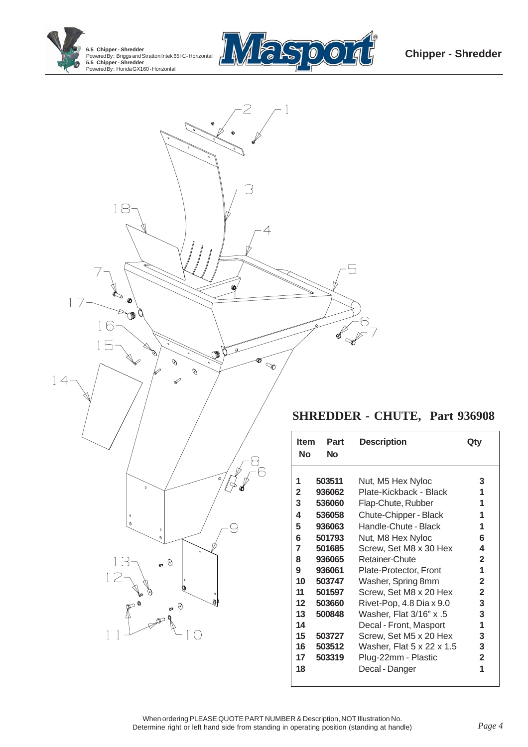





## **SHREDDER - CHUTE, Part 936908**

| <b>Item</b><br>Nο                                                                                               | Part<br>Nο                                                                                                                                                   | <b>Description</b>                                                                                                                                                                                                                                                                                                                                                                                                                             | Qty                                                                                                                                  |
|-----------------------------------------------------------------------------------------------------------------|--------------------------------------------------------------------------------------------------------------------------------------------------------------|------------------------------------------------------------------------------------------------------------------------------------------------------------------------------------------------------------------------------------------------------------------------------------------------------------------------------------------------------------------------------------------------------------------------------------------------|--------------------------------------------------------------------------------------------------------------------------------------|
| 1<br>$\mathbf{2}$<br>3<br>4<br>5<br>6<br>7<br>8<br>9<br>10<br>11<br>$12 \,$<br>13<br>14<br>15<br>16<br>17<br>18 | 503511<br>936062<br>536060<br>536058<br>936063<br>501793<br>501685<br>936065<br>936061<br>503747<br>501597<br>503660<br>500848<br>503727<br>503512<br>503319 | Nut, M5 Hex Nyloc<br>Plate-Kickback - Black<br>Flap-Chute, Rubber<br>Chute-Chipper - Black<br>Handle-Chute - Black<br>Nut, M8 Hex Nyloc<br>Screw, Set M8 x 30 Hex<br>Retainer-Chute<br>Plate-Protector, Front<br>Washer, Spring 8mm<br>Screw, Set M8 x 20 Hex<br>Rivet-Pop, 4.8 Dia x 9.0<br>Washer, Flat 3/16" x .5<br>Decal - Front, Masport<br>Screw, Set M5 x 20 Hex<br>Washer, Flat 5 x 22 x 1.5<br>Plug-22mm - Plastic<br>Decal - Danger | 3<br>1<br>1<br>1<br>1<br>6<br>4<br>$\mathbf{2}$<br>1<br>$\mathbf{2}$<br>$\mathbf{2}$<br>3<br>3<br>1<br>3<br>3<br>$\overline{2}$<br>1 |